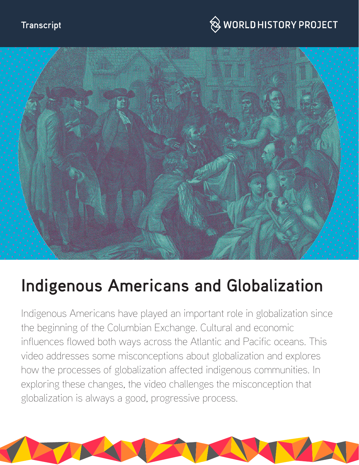## $\hspace{0.1cm}\raisebox{0.6ex}{\text{\circle*{1.5}}}\otimes$  WORLD HISTORY PROJECT



# **Indigenous Americans and Globalization**

Indigenous Americans have played an important role in globalization since the beginning of the Columbian Exchange. Cultural and economic influences flowed both ways across the Atlantic and Pacific oceans. This video addresses some misconceptions about globalization and explores how the processes of globalization affected indigenous communities. In exploring these changes, the video challenges the misconception that globalization is always a good, progressive process.

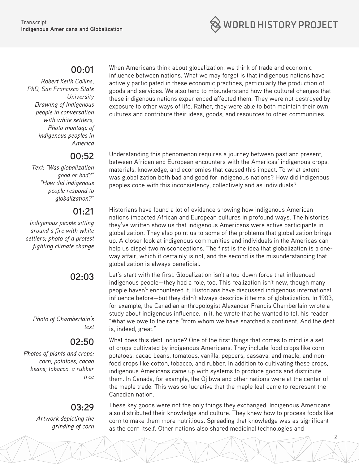

#### **00:01**

*Robert Keith Collins, PhD, San Francisco State University Drawing of Indigenous people in conversation with white settlers; Photo montage of indigenous peoples in America*

#### **00:52**

*Text: "Was globalization good or bad?" "How did indigenous people respond to globalization?"*

#### **01:21**

*Indigenous people sitting around a fire with white settlers; photo of a protest fighting climate change*

### **02:03**

*Photo of Chamberlain's text*

### **02:50**

*Photos of plants and crops: corn, potatoes, cacao beans; tobacco, a rubber tree*

### **03:29**

*Artwork depicting the grinding of corn* When Americans think about globalization, we think of trade and economic influence between nations. What we may forget is that indigenous nations have actively participated in these economic practices, particularly the production of goods and services. We also tend to misunderstand how the cultural changes that these indigenous nations experienced affected them. They were not destroyed by exposure to other ways of life. Rather, they were able to both maintain their own cultures and contribute their ideas, goods, and resources to other communities.

Understanding this phenomenon requires a journey between past and present, between African and European encounters with the Americas' indigenous crops, materials, knowledge, and economies that caused this impact. To what extent was globalization both bad and good for indigenous nations? How did indigenous peoples cope with this inconsistency, collectively and as individuals?

Historians have found a lot of evidence showing how indigenous American nations impacted African and European cultures in profound ways. The histories they've written show us that indigenous Americans were active participants in globalization. They also point us to some of the problems that globalization brings up. A closer look at indigenous communities and individuals in the Americas can help us dispel two misconceptions. The first is the idea that globalization is a oneway affair, which it certainly is not, and the second is the misunderstanding that globalization is always beneficial.

Let's start with the first. Globalization isn't a top-down force that influenced indigenous people—they had a role, too. This realization isn't new, though many people haven't encountered it. Historians have discussed indigenous international influence before—but they didn't always describe it terms of globalization. In 1903, for example, the Canadian anthropologist Alexander Francis Chamberlain wrote a study about indigenous influence. In it, he wrote that he wanted to tell his reader, "What we owe to the race "from whom we have snatched a continent. And the debt is, indeed, great."

What does this debt include? One of the first things that comes to mind is a set of crops cultivated by indigenous Americans. They include food crops like corn, potatoes, cacao beans, tomatoes, vanilla, peppers, cassava, and maple, and nonfood crops like cotton, tobacco, and rubber. In addition to cultivating these crops, indigenous Americans came up with systems to produce goods and distribute them. In Canada, for example, the Ojibwa and other nations were at the center of the maple trade. This was so lucrative that the maple leaf came to represent the Canadian nation.

These key goods were not the only things they exchanged. Indigenous Americans also distributed their knowledge and culture. They knew how to process foods like corn to make them more nutritious. Spreading that knowledge was as significant as the corn itself. Other nations also shared medicinal technologies and

2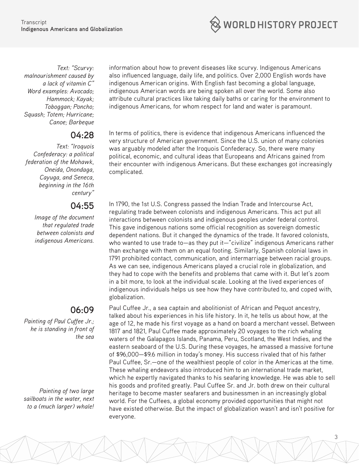WORLD HISTORY PROJECT

*Text: "Scurvy: malnourishment caused by a lack of vitamin C" Word examples: Avocado; Hammock; Kayak; Toboggan; Poncho; Squash; Totem; Hurricane; Canoe; Barbeque*

#### **04:28**

*Text: "Iroquois Confederacy: a political federation of the Mohawk, Oneida, Onondaga, Cayuga, and Seneca, beginning in the 16th century"*

#### **04:55**

*Image of the document that regulated trade between colonists and indigenous Americans.*

#### **06:09**

*Painting of Paul Cuffee Jr.; he is standing in front of the sea*

*Painting of two large sailboats in the water, next to a (much larger) whale!* information about how to prevent diseases like scurvy. Indigenous Americans also influenced language, daily life, and politics. Over 2,000 English words have indigenous American origins. With English fast becoming a global language, indigenous American words are being spoken all over the world. Some also attribute cultural practices like taking daily baths or caring for the environment to indigenous Americans, for whom respect for land and water is paramount.

In terms of politics, there is evidence that indigenous Americans influenced the very structure of American government. Since the U.S. union of many colonies was arguably modeled after the Iroquois Confederacy. So, there were many political, economic, and cultural ideas that Europeans and Africans gained from their encounter with indigenous Americans. But these exchanges got increasingly complicated.

In 1790, the 1st U.S. Congress passed the Indian Trade and Intercourse Act, regulating trade between colonists and indigenous Americans. This act put all interactions between colonists and indigenous peoples under federal control. This gave indigenous nations some official recognition as sovereign domestic dependent nations. But it changed the dynamics of the trade. It favored colonists, who wanted to use trade to—as they put it—"civilize" indigenous Americans rather than exchange with them on an equal footing. Similarly, Spanish colonial laws in 1791 prohibited contact, communication, and intermarriage between racial groups. As we can see, indigenous Americans played a crucial role in globalization, and they had to cope with the benefits and problems that came with it. But let's zoom in a bit more, to look at the individual scale. Looking at the lived experiences of indigenous individuals helps us see how they have contributed to, and coped with, globalization.

Paul Cuffee Jr., a sea captain and abolitionist of African and Pequot ancestry, talked about his experiences in his life history. In it, he tells us about how, at the age of 12, he made his first voyage as a hand on board a merchant vessel. Between 1817 and 1821, Paul Cuffee made approximately 20 voyages to the rich whaling waters of the Galapagos Islands, Panama, Peru, Scotland, the West Indies, and the eastern seaboard of the U.S. During these voyages, he amassed a massive fortune of \$96,000—\$9.6 million in today's money. His success rivaled that of his father Paul Cuffee, Sr.—one of the wealthiest people of color in the Americas at the time. These whaling endeavors also introduced him to an international trade market, which he expertly navigated thanks to his seafaring knowledge. He was able to sell his goods and profited greatly. Paul Cuffee Sr. and Jr. both drew on their cultural heritage to become master seafarers and businessmen in an increasingly global world. For the Cuffees, a global economy provided opportunities that might not have existed otherwise. But the impact of globalization wasn't and isn't positive for everyone.

3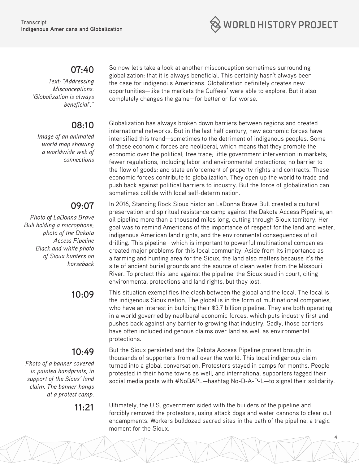

#### **07:40**

*Text: "Addressing Misconceptions: 'Globalization is always beneficial'."*

#### **08:10**

*Image of an animated world map showing a worldwide web of connections* 

### **09:07**

*Photo of LaDonna Brave Bull holding a microphone; photo of the Dakota Access Pipeline Black and white photo of Sioux hunters on horseback*

### **10:49**

*Photo of a banner covered in painted handprints, in support of the Sioux' land claim. The banner hangs at a protest camp.*

So now let's take a look at another misconception sometimes surrounding globalization: that it is always beneficial. This certainly hasn't always been the case for indigenous Americans. Globalization definitely creates new opportunities—like the markets the Cuffees' were able to explore. But it also completely changes the game—for better or for worse.

Globalization has always broken down barriers between regions and created international networks. But in the last half century, new economic forces have intensified this trend—sometimes to the detriment of indigenous peoples. Some of these economic forces are neoliberal, which means that they promote the economic over the political; free trade; little government intervention in markets; fewer regulations, including labor and environmental protections; no barrier to the flow of goods; and state enforcement of property rights and contracts. These economic forces contribute to globalization. They open up the world to trade and push back against political barriers to industry. But the force of globalization can sometimes collide with local self-determination.

In 2016, Standing Rock Sioux historian LaDonna Brave Bull created a cultural preservation and spiritual resistance camp against the Dakota Access Pipeline, an oil pipeline more than a thousand miles long, cutting through Sioux territory. Her goal was to remind Americans of the importance of respect for the land and water, indigenous American land rights, and the environmental consequences of oil drilling. This pipeline—which is important to powerful multinational companies created major problems for this local community. Aside from its importance as a farming and hunting area for the Sioux, the land also matters because it's the site of ancient burial grounds and the source of clean water from the Missouri River. To protect this land against the pipeline, the Sioux sued in court, citing environmental protections and land rights, but they lost.

**10:09** This situation exemplifies the clash between the global and the local. The local is the indigenous Sioux nation. The global is in the form of multinational companies, who have an interest in building their \$3.7 billion pipeline. They are both operating in a world governed by neoliberal economic forces, which puts industry first and pushes back against any barrier to growing that industry. Sadly, those barriers have often included indigenous claims over land as well as environmental protections.

> But the Sioux persisted and the Dakota Access Pipeline protest brought in thousands of supporters from all over the world. This local indigenous claim turned into a global conversation. Protesters stayed in camps for months. People protested in their home towns as well, and international supporters tagged their social media posts with #NoDAPL—hashtag No-D-A-P-L—to signal their solidarity.

**11:21** Ultimately, the U.S. government sided with the builders of the pipeline and forcibly removed the protestors, using attack dogs and water cannons to clear out encampments. Workers bulldozed sacred sites in the path of the pipeline, a tragic moment for the Sioux.

4